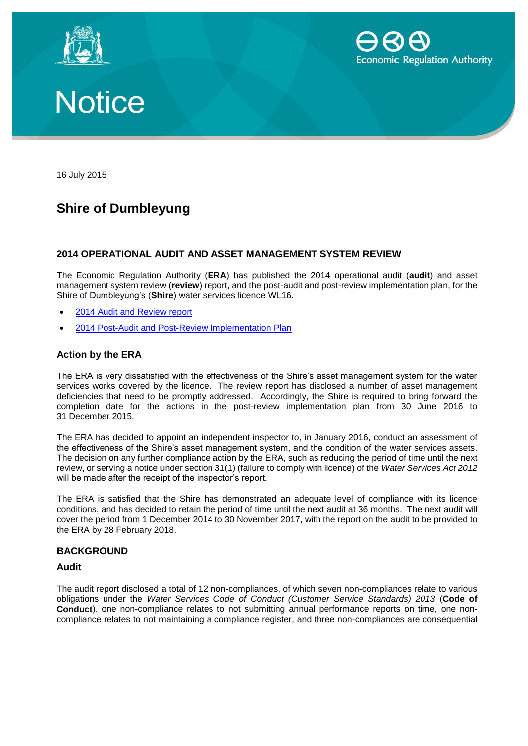





16 July 2015

# **Shire of Dumbleyung**

## **2014 OPERATIONAL AUDIT AND ASSET MANAGEMENT SYSTEM REVIEW**

The Economic Regulation Authority (**ERA**) has published the 2014 operational audit (**audit**) and asset management system review (**review**) report, and the post-audit and post-review implementation plan, for the Shire of Dumbleyung's (**Shire**) water services licence WL16.

- [2014 Audit and Review report](http://www.erawa.com.au/cproot/13760/2/Shire%20of%20Dumbleyung%20-%202014%20Operational%20Audit%20and%20Asset%20Management%20Review%20Report.pdf)
- [2014 Post-Audit and Post-Review Implementation Plan](http://www.erawa.com.au/cproot/13759/2/Shire%20of%20Dumbleyung%20-%20%202014%20Post-audit%20and%20post-review%20implementation%20plan.pdf)

### **Action by the ERA**

The ERA is very dissatisfied with the effectiveness of the Shire's asset management system for the water services works covered by the licence. The review report has disclosed a number of asset management deficiencies that need to be promptly addressed. Accordingly, the Shire is required to bring forward the completion date for the actions in the post-review implementation plan from 30 June 2016 to 31 December 2015.

The ERA has decided to appoint an independent inspector to, in January 2016, conduct an assessment of the effectiveness of the Shire's asset management system, and the condition of the water services assets. The decision on any further compliance action by the ERA, such as reducing the period of time until the next review, or serving a notice under section 31(1) (failure to comply with licence) of the *Water Services Act 2012* will be made after the receipt of the inspector's report.

The ERA is satisfied that the Shire has demonstrated an adequate level of compliance with its licence conditions, and has decided to retain the period of time until the next audit at 36 months. The next audit will cover the period from 1 December 2014 to 30 November 2017, with the report on the audit to be provided to the ERA by 28 February 2018.

#### **BACKGROUND**

#### **Audit**

The audit report disclosed a total of 12 non-compliances, of which seven non-compliances relate to various obligations under the *Water Services Code of Conduct (Customer Service Standards) 2013* (**Code of Conduct**), one non-compliance relates to not submitting annual performance reports on time, one noncompliance relates to not maintaining a compliance register, and three non-compliances are consequential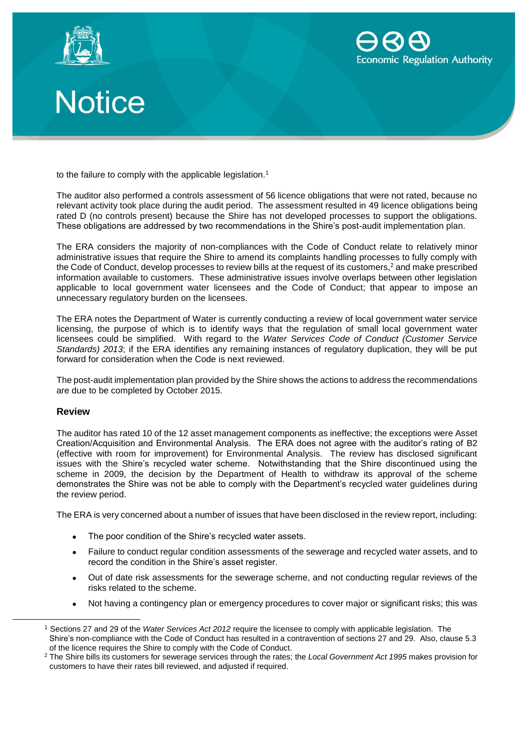





to the failure to comply with the applicable legislation.<sup>1</sup>

The auditor also performed a controls assessment of 56 licence obligations that were not rated, because no relevant activity took place during the audit period. The assessment resulted in 49 licence obligations being rated D (no controls present) because the Shire has not developed processes to support the obligations. These obligations are addressed by two recommendations in the Shire's post-audit implementation plan.

The ERA considers the majority of non-compliances with the Code of Conduct relate to relatively minor administrative issues that require the Shire to amend its complaints handling processes to fully comply with the Code of Conduct, develop processes to review bills at the request of its customers,<sup>2</sup> and make prescribed information available to customers. These administrative issues involve overlaps between other legislation applicable to local government water licensees and the Code of Conduct; that appear to impose an unnecessary regulatory burden on the licensees.

The ERA notes the Department of Water is currently conducting a review of local government water service licensing, the purpose of which is to identify ways that the regulation of small local government water licensees could be simplified. With regard to the *Water Services Code of Conduct (Customer Service Standards) 2013*; if the ERA identifies any remaining instances of regulatory duplication, they will be put forward for consideration when the Code is next reviewed.

The post-audit implementation plan provided by the Shire shows the actions to address the recommendations are due to be completed by October 2015.

#### **Review**

 $\overline{a}$ 

The auditor has rated 10 of the 12 asset management components as ineffective; the exceptions were Asset Creation/Acquisition and Environmental Analysis. The ERA does not agree with the auditor's rating of B2 (effective with room for improvement) for Environmental Analysis. The review has disclosed significant issues with the Shire's recycled water scheme. Notwithstanding that the Shire discontinued using the scheme in 2009, the decision by the Department of Health to withdraw its approval of the scheme demonstrates the Shire was not be able to comply with the Department's recycled water guidelines during the review period.

The ERA is very concerned about a number of issues that have been disclosed in the review report, including:

- The poor condition of the Shire's recycled water assets.
- Failure to conduct regular condition assessments of the sewerage and recycled water assets, and to record the condition in the Shire's asset register.
- Out of date risk assessments for the sewerage scheme, and not conducting regular reviews of the risks related to the scheme.
- Not having a contingency plan or emergency procedures to cover major or significant risks; this was

<sup>1</sup> Sections 27 and 29 of the *Water Services Act 2012* require the licensee to comply with applicable legislation. The Shire's non-compliance with the Code of Conduct has resulted in a contravention of sections 27 and 29. Also, clause 5.3 of the licence requires the Shire to comply with the Code of Conduct.

<sup>2</sup> The Shire bills its customers for sewerage services through the rates; the *Local Government Act 1995* makes provision for customers to have their rates bill reviewed, and adjusted if required.